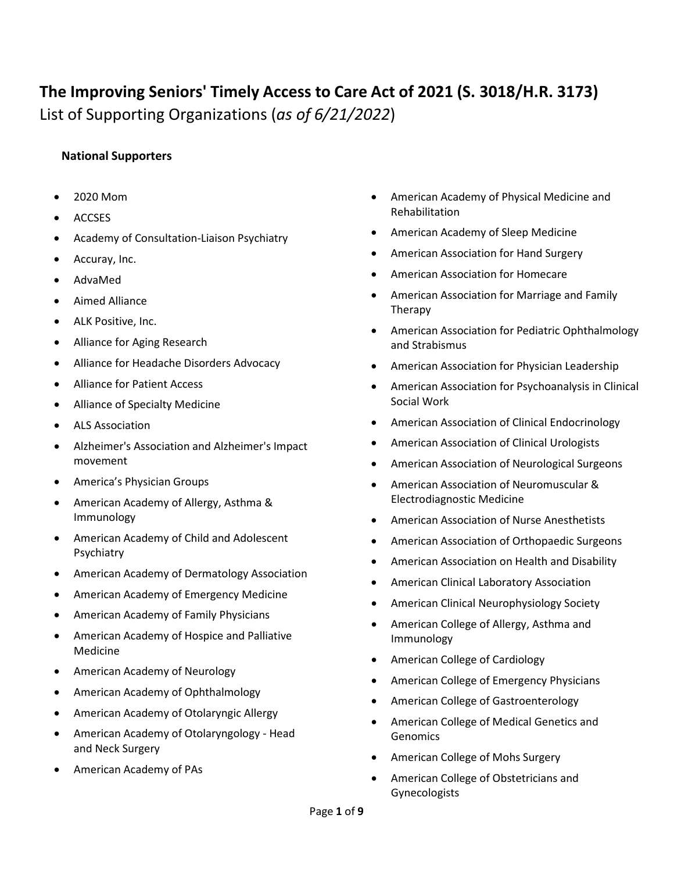## **The Improving Seniors' Timely Access to Care Act of 2021 (S. 3018/H.R. 3173)** List of Supporting Organizations (*as of 6/21/2022*)

## **National Supporters**

- 2020 Mom
- ACCSES
- Academy of Consultation-Liaison Psychiatry
- Accuray, Inc.
- AdvaMed
- Aimed Alliance
- ALK Positive, Inc.
- Alliance for Aging Research
- Alliance for Headache Disorders Advocacy
- Alliance for Patient Access
- Alliance of Specialty Medicine
- ALS Association
- Alzheimer's Association and Alzheimer's Impact movement
- America's Physician Groups
- American Academy of Allergy, Asthma & Immunology
- American Academy of Child and Adolescent Psychiatry
- American Academy of Dermatology Association
- American Academy of Emergency Medicine
- American Academy of Family Physicians
- American Academy of Hospice and Palliative Medicine
- American Academy of Neurology
- American Academy of Ophthalmology
- American Academy of Otolaryngic Allergy
- American Academy of Otolaryngology Head and Neck Surgery
- American Academy of PAs
- American Academy of Physical Medicine and Rehabilitation
- American Academy of Sleep Medicine
- American Association for Hand Surgery
- American Association for Homecare
- American Association for Marriage and Family Therapy
- American Association for Pediatric Ophthalmology and Strabismus
- American Association for Physician Leadership
- American Association for Psychoanalysis in Clinical Social Work
- American Association of Clinical Endocrinology
- American Association of Clinical Urologists
- American Association of Neurological Surgeons
- American Association of Neuromuscular & Electrodiagnostic Medicine
- American Association of Nurse Anesthetists
- American Association of Orthopaedic Surgeons
- American Association on Health and Disability
- American Clinical Laboratory Association
- American Clinical Neurophysiology Society
- American College of Allergy, Asthma and Immunology
- American College of Cardiology
- American College of Emergency Physicians
- American College of Gastroenterology
- American College of Medical Genetics and Genomics
- American College of Mohs Surgery
- American College of Obstetricians and Gynecologists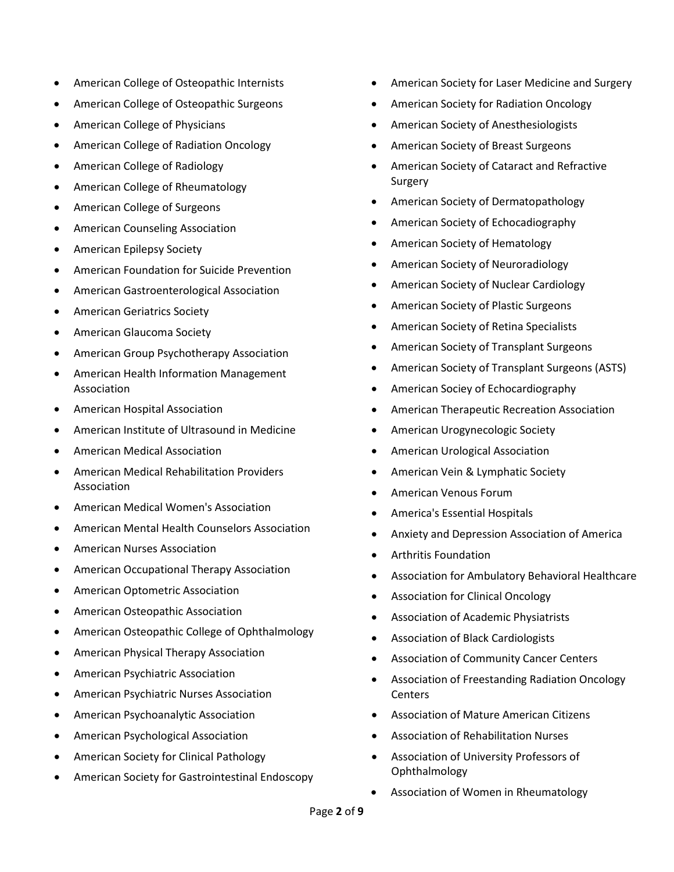- American College of Osteopathic Internists
- American College of Osteopathic Surgeons
- American College of Physicians
- American College of Radiation Oncology
- American College of Radiology
- American College of Rheumatology
- American College of Surgeons
- American Counseling Association
- American Epilepsy Society
- American Foundation for Suicide Prevention
- American Gastroenterological Association
- American Geriatrics Society
- American Glaucoma Society
- American Group Psychotherapy Association
- American Health Information Management Association
- American Hospital Association
- American Institute of Ultrasound in Medicine
- American Medical Association
- American Medical Rehabilitation Providers Association
- American Medical Women's Association
- American Mental Health Counselors Association
- American Nurses Association
- American Occupational Therapy Association
- American Optometric Association
- American Osteopathic Association
- American Osteopathic College of Ophthalmology
- American Physical Therapy Association
- American Psychiatric Association
- American Psychiatric Nurses Association
- American Psychoanalytic Association
- American Psychological Association
- American Society for Clinical Pathology
- American Society for Gastrointestinal Endoscopy
- American Society for Laser Medicine and Surgery
- American Society for Radiation Oncology
- American Society of Anesthesiologists
- American Society of Breast Surgeons
- American Society of Cataract and Refractive Surgery
- American Society of Dermatopathology
- American Society of Echocadiography
- American Society of Hematology
- American Society of Neuroradiology
- American Society of Nuclear Cardiology
- American Society of Plastic Surgeons
- American Society of Retina Specialists
- American Society of Transplant Surgeons
- American Society of Transplant Surgeons (ASTS)
- American Sociey of Echocardiography
- American Therapeutic Recreation Association
- American Urogynecologic Society
- American Urological Association
- American Vein & Lymphatic Society
- American Venous Forum
- America's Essential Hospitals
- Anxiety and Depression Association of America
- Arthritis Foundation
- Association for Ambulatory Behavioral Healthcare
- Association for Clinical Oncology
- Association of Academic Physiatrists
- Association of Black Cardiologists
- Association of Community Cancer Centers
- Association of Freestanding Radiation Oncology **Centers**
- Association of Mature American Citizens
- Association of Rehabilitation Nurses
- Association of University Professors of Ophthalmology
- Association of Women in Rheumatology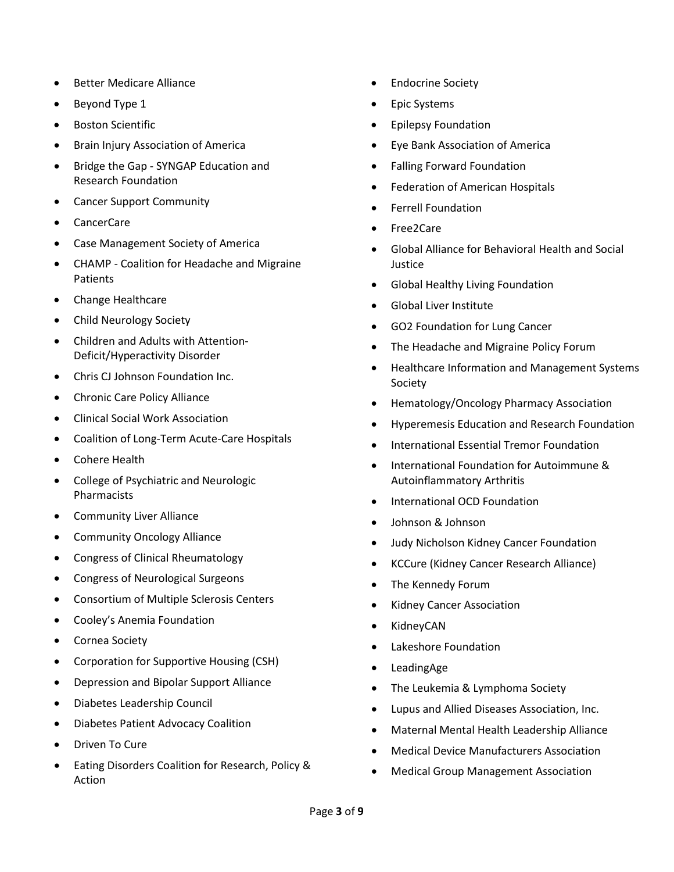- Better Medicare Alliance
- Beyond Type 1
- Boston Scientific
- Brain Injury Association of America
- Bridge the Gap SYNGAP Education and Research Foundation
- Cancer Support Community
- CancerCare
- Case Management Society of America
- CHAMP Coalition for Headache and Migraine Patients
- Change Healthcare
- Child Neurology Society
- Children and Adults with Attention-Deficit/Hyperactivity Disorder
- Chris CJ Johnson Foundation Inc.
- Chronic Care Policy Alliance
- Clinical Social Work Association
- Coalition of Long-Term Acute-Care Hospitals
- Cohere Health
- College of Psychiatric and Neurologic Pharmacists
- Community Liver Alliance
- Community Oncology Alliance
- Congress of Clinical Rheumatology
- Congress of Neurological Surgeons
- Consortium of Multiple Sclerosis Centers
- Cooley's Anemia Foundation
- Cornea Society
- Corporation for Supportive Housing (CSH)
- Depression and Bipolar Support Alliance
- Diabetes Leadership Council
- Diabetes Patient Advocacy Coalition
- Driven To Cure
- Eating Disorders Coalition for Research, Policy & Action
- Endocrine Society
- Epic Systems
- Epilepsy Foundation
- Eye Bank Association of America
- Falling Forward Foundation
- Federation of American Hospitals
- Ferrell Foundation
- Free2Care
- Global Alliance for Behavioral Health and Social Justice
- Global Healthy Living Foundation
- Global Liver Institute
- GO2 Foundation for Lung Cancer
- The Headache and Migraine Policy Forum
- Healthcare Information and Management Systems Society
- Hematology/Oncology Pharmacy Association
- Hyperemesis Education and Research Foundation
- International Essential Tremor Foundation
- International Foundation for Autoimmune & Autoinflammatory Arthritis
- International OCD Foundation
- Johnson & Johnson
- Judy Nicholson Kidney Cancer Foundation
- KCCure (Kidney Cancer Research Alliance)
- The Kennedy Forum
- Kidney Cancer Association
- KidneyCAN
- Lakeshore Foundation
- LeadingAge
- The Leukemia & Lymphoma Society
- Lupus and Allied Diseases Association, Inc.
- Maternal Mental Health Leadership Alliance
- Medical Device Manufacturers Association
- Medical Group Management Association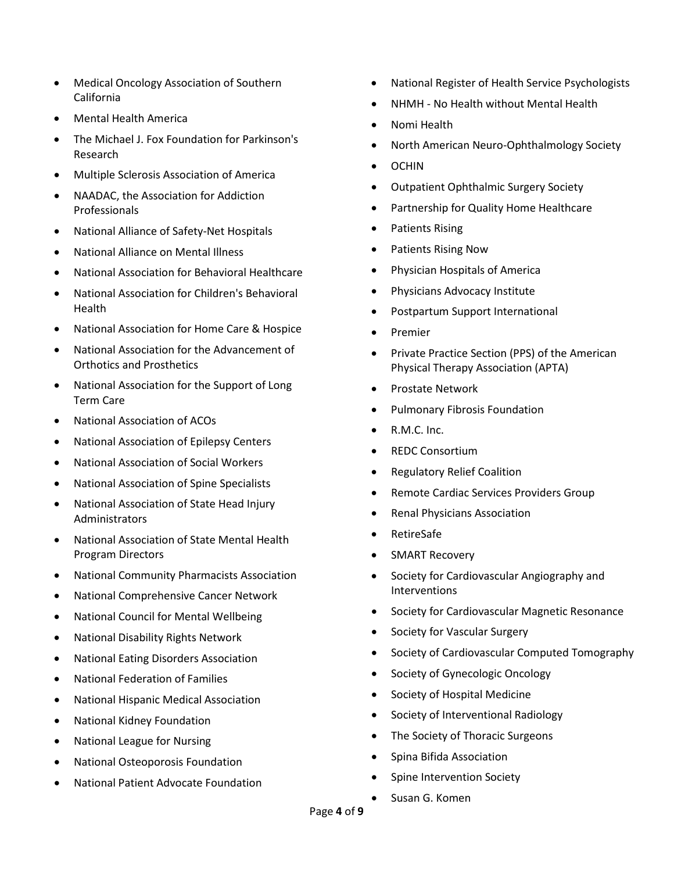- Medical Oncology Association of Southern California
- Mental Health America
- The Michael J. Fox Foundation for Parkinson's Research
- Multiple Sclerosis Association of America
- NAADAC, the Association for Addiction Professionals
- National Alliance of Safety-Net Hospitals
- National Alliance on Mental Illness
- National Association for Behavioral Healthcare
- National Association for Children's Behavioral Health
- National Association for Home Care & Hospice
- National Association for the Advancement of Orthotics and Prosthetics
- National Association for the Support of Long Term Care
- National Association of ACOs
- National Association of Epilepsy Centers
- National Association of Social Workers
- National Association of Spine Specialists
- National Association of State Head Injury Administrators
- National Association of State Mental Health Program Directors
- National Community Pharmacists Association
- National Comprehensive Cancer Network
- National Council for Mental Wellbeing
- National Disability Rights Network
- National Eating Disorders Association
- National Federation of Families
- National Hispanic Medical Association
- National Kidney Foundation
- National League for Nursing
- National Osteoporosis Foundation
- National Patient Advocate Foundation
- National Register of Health Service Psychologists
- NHMH No Health without Mental Health
- Nomi Health
- North American Neuro-Ophthalmology Society
- OCHIN
- Outpatient Ophthalmic Surgery Society
- Partnership for Quality Home Healthcare
- Patients Rising
- Patients Rising Now
- Physician Hospitals of America
- Physicians Advocacy Institute
- Postpartum Support International
- Premier
- Private Practice Section (PPS) of the American Physical Therapy Association (APTA)
- Prostate Network
- Pulmonary Fibrosis Foundation
- R.M.C. Inc.
- REDC Consortium
- Regulatory Relief Coalition
- Remote Cardiac Services Providers Group
- Renal Physicians Association
- RetireSafe
- SMART Recovery
- Society for Cardiovascular Angiography and Interventions
- Society for Cardiovascular Magnetic Resonance
- Society for Vascular Surgery
- Society of Cardiovascular Computed Tomography
- Society of Gynecologic Oncology
- Society of Hospital Medicine
- Society of Interventional Radiology
- The Society of Thoracic Surgeons
- Spina Bifida Association
- Spine Intervention Society
- Susan G. Komen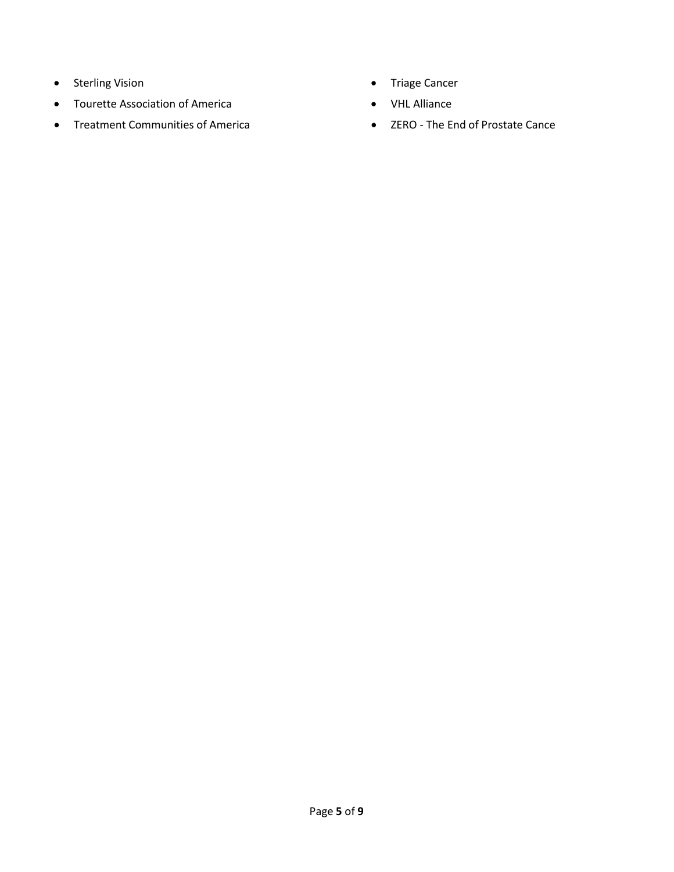- Sterling Vision
- Tourette Association of America
- Treatment Communities of America
- Triage Cancer
- VHL Alliance
- ZERO The End of Prostate Cance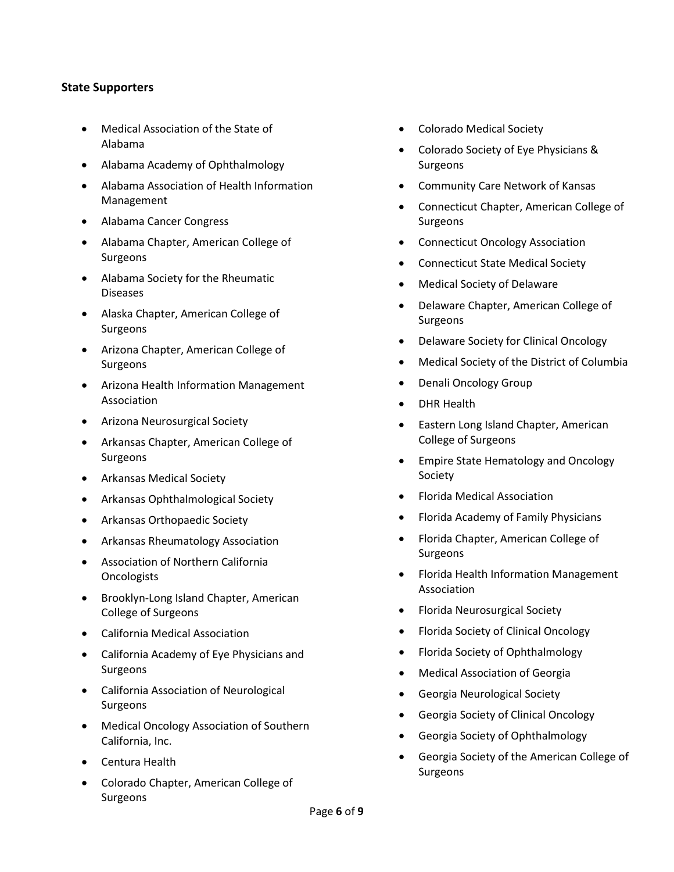## **State Supporters**

- Medical Association of the State of Alabama
- Alabama Academy of Ophthalmology
- Alabama Association of Health Information Management
- Alabama Cancer Congress
- Alabama Chapter, American College of Surgeons
- Alabama Society for the Rheumatic Diseases
- Alaska Chapter, American College of Surgeons
- Arizona Chapter, American College of Surgeons
- Arizona Health Information Management Association
- Arizona Neurosurgical Society
- Arkansas Chapter, American College of Surgeons
- Arkansas Medical Society
- Arkansas Ophthalmological Society
- Arkansas Orthopaedic Society
- Arkansas Rheumatology Association
- Association of Northern California **Oncologists**
- Brooklyn-Long Island Chapter, American College of Surgeons
- California Medical Association
- California Academy of Eye Physicians and Surgeons
- California Association of Neurological Surgeons
- Medical Oncology Association of Southern California, Inc.
- Centura Health
- Colorado Chapter, American College of Surgeons
- Colorado Medical Society
- Colorado Society of Eye Physicians & Surgeons
- Community Care Network of Kansas
- Connecticut Chapter, American College of Surgeons
- Connecticut Oncology Association
- Connecticut State Medical Society
- Medical Society of Delaware
- Delaware Chapter, American College of Surgeons
- Delaware Society for Clinical Oncology
- Medical Society of the District of Columbia
- Denali Oncology Group
- DHR Health
- Eastern Long Island Chapter, American College of Surgeons
- Empire State Hematology and Oncology Society
- Florida Medical Association
- Florida Academy of Family Physicians
- Florida Chapter, American College of Surgeons
- Florida Health Information Management Association
- Florida Neurosurgical Society
- Florida Society of Clinical Oncology
- Florida Society of Ophthalmology
- Medical Association of Georgia
- Georgia Neurological Society
- Georgia Society of Clinical Oncology
- Georgia Society of Ophthalmology
- Georgia Society of the American College of Surgeons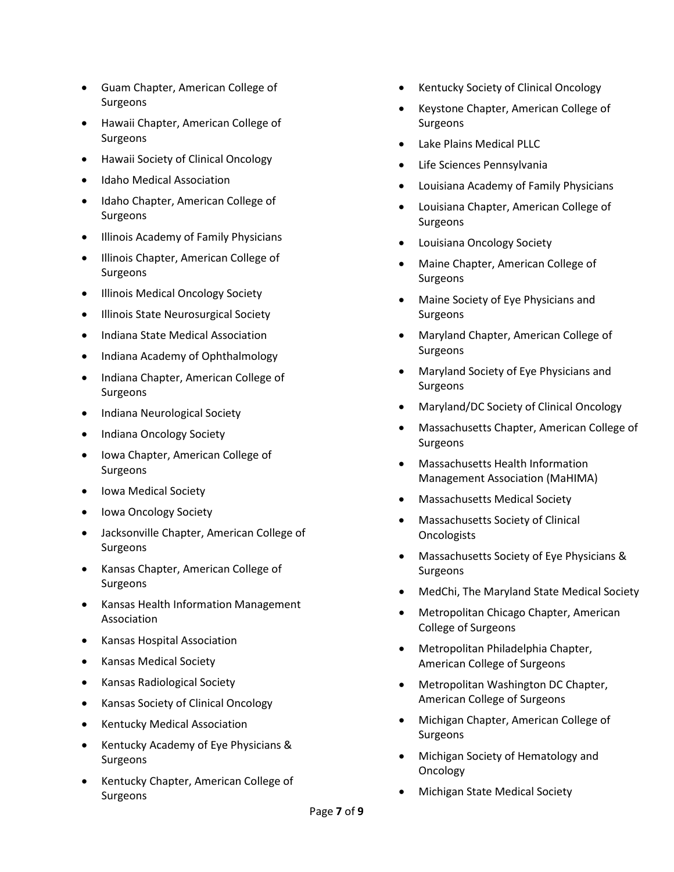- Guam Chapter, American College of Surgeons
- Hawaii Chapter, American College of Surgeons
- Hawaii Society of Clinical Oncology
- Idaho Medical Association
- Idaho Chapter, American College of Surgeons
- Illinois Academy of Family Physicians
- Illinois Chapter, American College of Surgeons
- Illinois Medical Oncology Society
- Illinois State Neurosurgical Society
- Indiana State Medical Association
- Indiana Academy of Ophthalmology
- Indiana Chapter, American College of Surgeons
- Indiana Neurological Society
- Indiana Oncology Society
- Iowa Chapter, American College of Surgeons
- Iowa Medical Society
- Iowa Oncology Society
- Jacksonville Chapter, American College of Surgeons
- Kansas Chapter, American College of Surgeons
- Kansas Health Information Management Association
- Kansas Hospital Association
- Kansas Medical Society
- Kansas Radiological Society
- Kansas Society of Clinical Oncology
- Kentucky Medical Association
- Kentucky Academy of Eye Physicians & Surgeons
- Kentucky Chapter, American College of Surgeons
- Kentucky Society of Clinical Oncology
- Keystone Chapter, American College of Surgeons
- Lake Plains Medical PLLC
- Life Sciences Pennsylvania
- Louisiana Academy of Family Physicians
- Louisiana Chapter, American College of Surgeons
- Louisiana Oncology Society
- Maine Chapter, American College of Surgeons
- Maine Society of Eye Physicians and Surgeons
- Maryland Chapter, American College of Surgeons
- Maryland Society of Eye Physicians and Surgeons
- Maryland/DC Society of Clinical Oncology
- Massachusetts Chapter, American College of Surgeons
- Massachusetts Health Information Management Association (MaHIMA)
- Massachusetts Medical Society
- Massachusetts Society of Clinical **Oncologists**
- Massachusetts Society of Eye Physicians & Surgeons
- MedChi, The Maryland State Medical Society
- Metropolitan Chicago Chapter, American College of Surgeons
- Metropolitan Philadelphia Chapter, American College of Surgeons
- Metropolitan Washington DC Chapter, American College of Surgeons
- Michigan Chapter, American College of Surgeons
- Michigan Society of Hematology and Oncology
- Michigan State Medical Society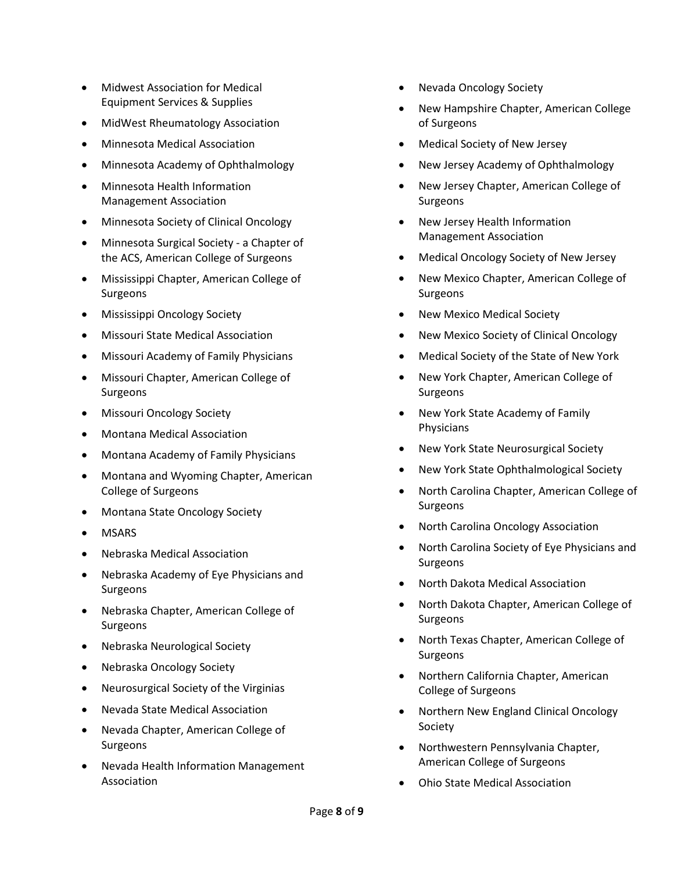- Midwest Association for Medical Equipment Services & Supplies
- MidWest Rheumatology Association
- Minnesota Medical Association
- Minnesota Academy of Ophthalmology
- Minnesota Health Information Management Association
- Minnesota Society of Clinical Oncology
- Minnesota Surgical Society a Chapter of the ACS, American College of Surgeons
- Mississippi Chapter, American College of Surgeons
- Mississippi Oncology Society
- Missouri State Medical Association
- Missouri Academy of Family Physicians
- Missouri Chapter, American College of Surgeons
- Missouri Oncology Society
- Montana Medical Association
- Montana Academy of Family Physicians
- Montana and Wyoming Chapter, American College of Surgeons
- Montana State Oncology Society
- MSARS
- Nebraska Medical Association
- Nebraska Academy of Eye Physicians and Surgeons
- Nebraska Chapter, American College of Surgeons
- Nebraska Neurological Society
- Nebraska Oncology Society
- Neurosurgical Society of the Virginias
- Nevada State Medical Association
- Nevada Chapter, American College of Surgeons
- Nevada Health Information Management Association
- Nevada Oncology Society
- New Hampshire Chapter, American College of Surgeons
- Medical Society of New Jersey
- New Jersey Academy of Ophthalmology
- New Jersey Chapter, American College of Surgeons
- New Jersey Health Information Management Association
- Medical Oncology Society of New Jersey
- New Mexico Chapter, American College of Surgeons
- New Mexico Medical Society
- New Mexico Society of Clinical Oncology
- Medical Society of the State of New York
- New York Chapter, American College of Surgeons
- New York State Academy of Family Physicians
- New York State Neurosurgical Society
- New York State Ophthalmological Society
- North Carolina Chapter, American College of Surgeons
- North Carolina Oncology Association
- North Carolina Society of Eye Physicians and Surgeons
- North Dakota Medical Association
- North Dakota Chapter, American College of Surgeons
- North Texas Chapter, American College of Surgeons
- Northern California Chapter, American College of Surgeons
- Northern New England Clinical Oncology Society
- Northwestern Pennsylvania Chapter, American College of Surgeons
- Ohio State Medical Association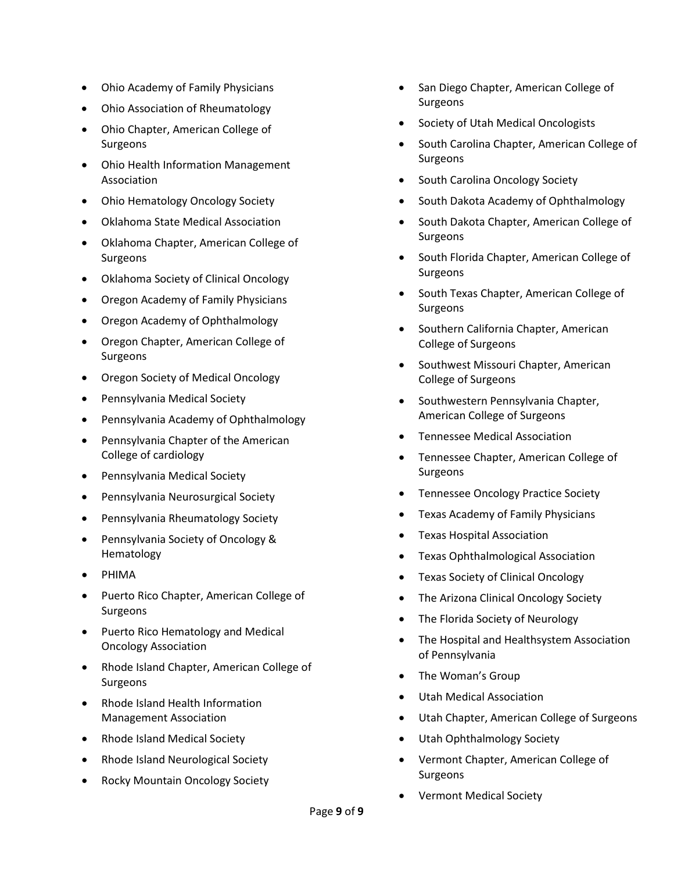- Ohio Academy of Family Physicians
- Ohio Association of Rheumatology
- Ohio Chapter, American College of Surgeons
- Ohio Health Information Management Association
- Ohio Hematology Oncology Society
- Oklahoma State Medical Association
- Oklahoma Chapter, American College of Surgeons
- Oklahoma Society of Clinical Oncology
- Oregon Academy of Family Physicians
- Oregon Academy of Ophthalmology
- Oregon Chapter, American College of **Surgeons**
- Oregon Society of Medical Oncology
- Pennsylvania Medical Society
- Pennsylvania Academy of Ophthalmology
- Pennsylvania Chapter of the American College of cardiology
- Pennsylvania Medical Society
- Pennsylvania Neurosurgical Society
- Pennsylvania Rheumatology Society
- Pennsylvania Society of Oncology & Hematology
- PHIMA
- Puerto Rico Chapter, American College of Surgeons
- Puerto Rico Hematology and Medical Oncology Association
- Rhode Island Chapter, American College of Surgeons
- Rhode Island Health Information Management Association
- Rhode Island Medical Society
- Rhode Island Neurological Society
- Rocky Mountain Oncology Society
- San Diego Chapter, American College of **Surgeons**
- Society of Utah Medical Oncologists
- South Carolina Chapter, American College of Surgeons
- South Carolina Oncology Society
- South Dakota Academy of Ophthalmology
- South Dakota Chapter, American College of Surgeons
- South Florida Chapter, American College of Surgeons
- South Texas Chapter, American College of Surgeons
- Southern California Chapter, American College of Surgeons
- Southwest Missouri Chapter, American College of Surgeons
- Southwestern Pennsylvania Chapter, American College of Surgeons
- Tennessee Medical Association
- Tennessee Chapter, American College of Surgeons
- Tennessee Oncology Practice Society
- Texas Academy of Family Physicians
- Texas Hospital Association
- Texas Ophthalmological Association
- Texas Society of Clinical Oncology
- The Arizona Clinical Oncology Society
- The Florida Society of Neurology
- The Hospital and Healthsystem Association of Pennsylvania
- The Woman's Group
- Utah Medical Association
- Utah Chapter, American College of Surgeons
- Utah Ophthalmology Society
- Vermont Chapter, American College of Surgeons
- Vermont Medical Society